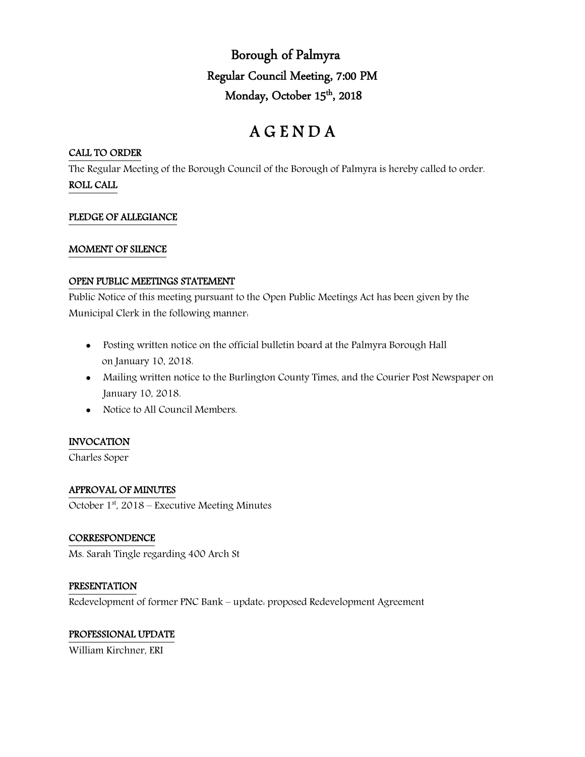Borough of Palmyra Regular Council Meeting, 7:00 PM Monday, October 15<sup>th</sup>, 2018

# A G E N D A

## CALL TO ORDER

The Regular Meeting of the Borough Council of the Borough of Palmyra is hereby called to order. ROLL CALL

## PLEDGE OF ALLEGIANCE

#### MOMENT OF SILENCE

#### OPEN PUBLIC MEETINGS STATEMENT

Public Notice of this meeting pursuant to the Open Public Meetings Act has been given by the Municipal Clerk in the following manner:

- Posting written notice on the official bulletin board at the Palmyra Borough Hall on January 10, 2018.
- Mailing written notice to the Burlington County Times, and the Courier Post Newspaper on January 10, 2018.
- Notice to All Council Members.

# INVOCATION

Charles Soper

#### APPROVAL OF MINUTES

October  $1<sup>st</sup>$ , 2018 – Executive Meeting Minutes

#### **CORRESPONDENCE**

Ms. Sarah Tingle regarding 400 Arch St

#### PRESENTATION

Redevelopment of former PNC Bank – update: proposed Redevelopment Agreement

#### PROFESSIONAL UPDATE

William Kirchner, ERI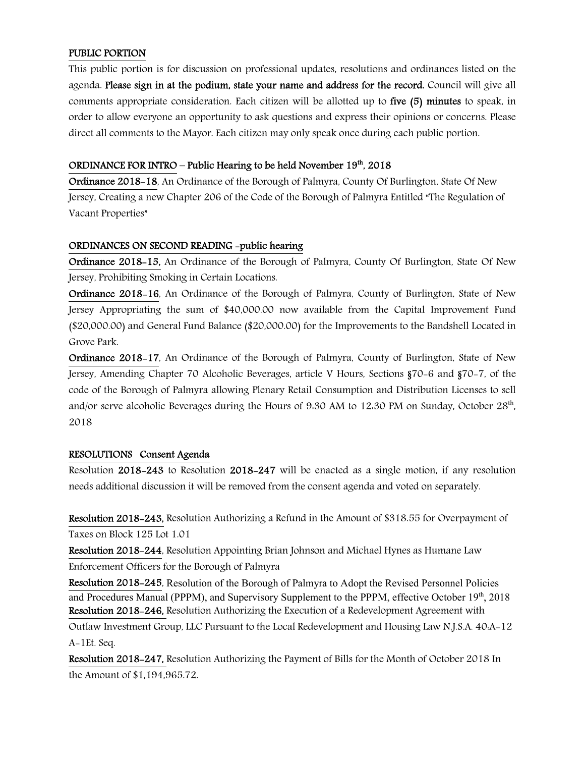## PUBLIC PORTION

This public portion is for discussion on professional updates, resolutions and ordinances listed on the agenda. Please sign in at the podium, state your name and address for the record. Council will give all comments appropriate consideration. Each citizen will be allotted up to five (5) minutes to speak, in order to allow everyone an opportunity to ask questions and express their opinions or concerns. Please direct all comments to the Mayor. Each citizen may only speak once during each public portion.

### ORDINANCE FOR INTRO – Public Hearing to be held November  $19<sup>th</sup>$ , 2018

Ordinance 2018-18, An Ordinance of the Borough of Palmyra, County Of Burlington, State Of New Jersey, Creating a new Chapter 206 of the Code of the Borough of Palmyra Entitled "The Regulation of Vacant Properties"

## ORDINANCES ON SECOND READING -public hearing

Ordinance 2018-15, An Ordinance of the Borough of Palmyra, County Of Burlington, State Of New Jersey, Prohibiting Smoking in Certain Locations.

Ordinance 2018-16, An Ordinance of the Borough of Palmyra, County of Burlington, State of New Jersey Appropriating the sum of \$40,000.00 now available from the Capital Improvement Fund (\$20,000.00) and General Fund Balance (\$20,000.00) for the Improvements to the Bandshell Located in Grove Park.

Ordinance 2018-17, An Ordinance of the Borough of Palmyra, County of Burlington, State of New Jersey, Amending Chapter 70 Alcoholic Beverages, article V Hours, Sections §70-6 and §70-7, of the code of the Borough of Palmyra allowing Plenary Retail Consumption and Distribution Licenses to sell and/or serve alcoholic Beverages during the Hours of 9:30 AM to 12:30 PM on Sunday, October 28th, 2018

#### RESOLUTIONS Consent Agenda

Resolution 2018-243 to Resolution 2018-247 will be enacted as a single motion, if any resolution needs additional discussion it will be removed from the consent agenda and voted on separately.

Resolution 2018-243, Resolution Authorizing a Refund in the Amount of \$318.55 for Overpayment of Taxes on Block 125 Lot 1.01

Resolution 2018-244, Resolution Appointing Brian Johnson and Michael Hynes as Humane Law Enforcement Officers for the Borough of Palmyra

Resolution 2018-245, Resolution of the Borough of Palmyra to Adopt the Revised Personnel Policies and Procedures Manual (PPPM), and Supervisory Supplement to the PPPM, effective October 19th, 2018 Resolution 2018-246, Resolution Authorizing the Execution of a Redevelopment Agreement with

Outlaw Investment Group, LLC Pursuant to the Local Redevelopment and Housing Law N.J.S.A. 40:A-12 A-1Et. Seq.

Resolution 2018-247, Resolution Authorizing the Payment of Bills for the Month of October 2018 In the Amount of \$1,194,965.72.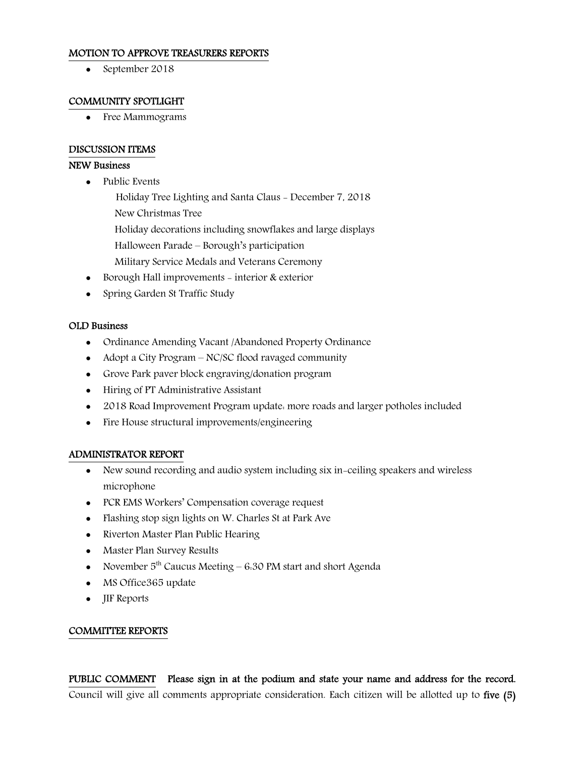#### MOTION TO APPROVE TREASURERS REPORTS

• September 2018

#### COMMUNITY SPOTLIGHT

• Free Mammograms

#### DISCUSSION ITEMS

#### NEW Business

• Public Events

 Holiday Tree Lighting and Santa Claus - December 7, 2018 New Christmas Tree

Holiday decorations including snowflakes and large displays

Halloween Parade – Borough's participation

Military Service Medals and Veterans Ceremony

- Borough Hall improvements interior & exterior
- Spring Garden St Traffic Study

#### OLD Business

- Ordinance Amending Vacant /Abandoned Property Ordinance
- Adopt a City Program NC/SC flood ravaged community
- Grove Park paver block engraving/donation program
- Hiring of PT Administrative Assistant
- 2018 Road Improvement Program update: more roads and larger potholes included
- Fire House structural improvements/engineering

#### ADMINISTRATOR REPORT

- New sound recording and audio system including six in-ceiling speakers and wireless microphone
- PCR EMS Workers' Compensation coverage request
- Flashing stop sign lights on W. Charles St at Park Ave
- Riverton Master Plan Public Hearing
- Master Plan Survey Results
- November  $5<sup>th</sup>$  Caucus Meeting 6:30 PM start and short Agenda
- MS Office 365 update
- JIF Reports

#### COMMITTEE REPORTS

PUBLIC COMMENT Please sign in at the podium and state your name and address for the record. Council will give all comments appropriate consideration. Each citizen will be allotted up to five (5)